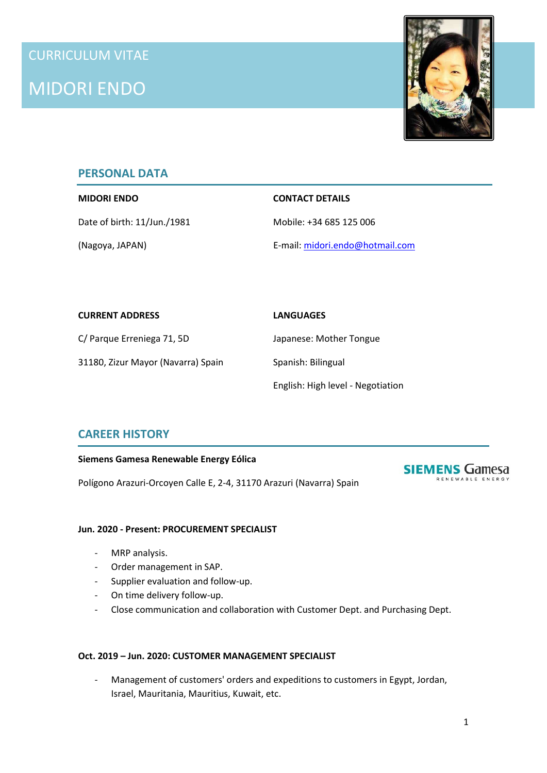

# **PERSONAL DATA**

## **MIDORI ENDO CONTACT DETAILS**

Date of birth: 11/Jun./1981 Mobile: +34 685 125 006

(Nagoya, JAPAN) E-mail: midori.endo@hotmail.com

| <b>CURRENT ADDRESS</b>             | <b>LANGUAGES</b>                  |
|------------------------------------|-----------------------------------|
| C/ Parque Erreniega 71, 5D         | Japanese: Mother Tongue           |
| 31180, Zizur Mayor (Navarra) Spain | Spanish: Bilingual                |
|                                    | English: High level - Negotiation |

# **CAREER HISTORY**

#### **Siemens Gamesa Renewable Energy Eólica**

Polígono Arazuri-Orcoyen Calle E, 2-4, 31170 Arazuri (Navarra) Spain



# **Jun. 2020 - Present: PROCUREMENT SPECIALIST**

- MRP analysis.
- Order management in SAP.
- Supplier evaluation and follow-up.
- On time delivery follow-up.
- Close communication and collaboration with Customer Dept. and Purchasing Dept.

#### **Oct. 2019 – Jun. 2020: CUSTOMER MANAGEMENT SPECIALIST**

Management of customers' orders and expeditions to customers in Egypt, Jordan, Israel, Mauritania, Mauritius, Kuwait, etc.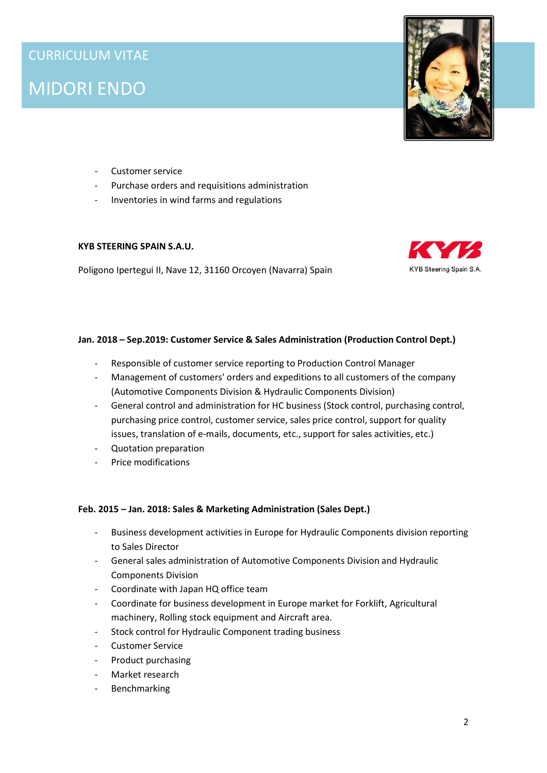

- Customer service
- Purchase orders and requisitions administration
- Inventories in wind farms and regulations

#### **KYB STEERING SPAIN S.A.U.**

Poligono Ipertegui II, Nave 12, 31160 Orcoyen (Navarra) Spain



### **Jan. 2018 – Sep.2019: Customer Service & Sales Administration (Production Control Dept.)**

- Responsible of customer service reporting to Production Control Manager
- Management of customers' orders and expeditions to all customers of the company (Automotive Components Division & Hydraulic Components Division)
- General control and administration for HC business (Stock control, purchasing control, purchasing price control, customer service, sales price control, support for quality issues, translation of e-mails, documents, etc., support for sales activities, etc.)
- Quotation preparation
- Price modifications

#### **Feb. 2015 – Jan. 2018: Sales & Marketing Administration (Sales Dept.)**

- Business development activities in Europe for Hydraulic Components division reporting to Sales Director
- General sales administration of Automotive Components Division and Hydraulic Components Division
- Coordinate with Japan HQ office team
- Coordinate for business development in Europe market for Forklift, Agricultural machinery, Rolling stock equipment and Aircraft area.
- Stock control for Hydraulic Component trading business
- Customer Service
- Product purchasing
- Market research
- **Benchmarking**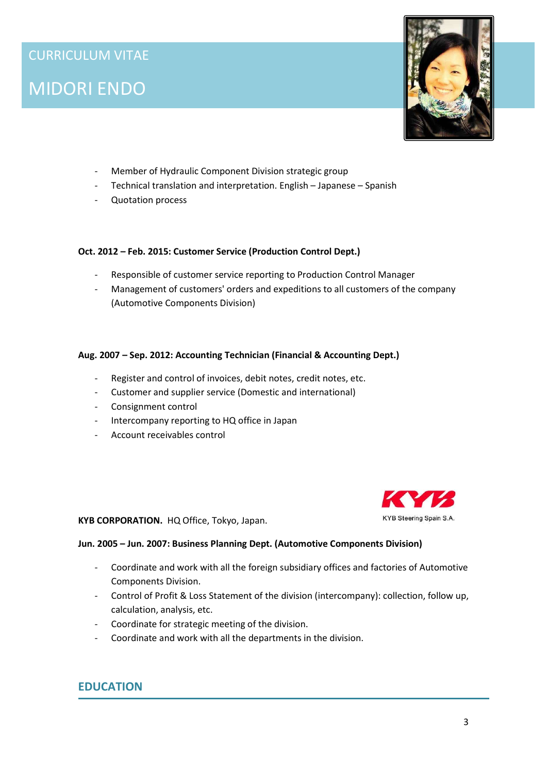

- Member of Hydraulic Component Division strategic group
- Technical translation and interpretation. English Japanese Spanish
- Quotation process

### **Oct. 2012 – Feb. 2015: Customer Service (Production Control Dept.)**

- Responsible of customer service reporting to Production Control Manager
- Management of customers' orders and expeditions to all customers of the company (Automotive Components Division)

### **Aug. 2007 – Sep. 2012: Accounting Technician (Financial & Accounting Dept.)**

- Register and control of invoices, debit notes, credit notes, etc.
- Customer and supplier service (Domestic and international)
- Consignment control
- Intercompany reporting to HQ office in Japan
- Account receivables control



**KYB CORPORATION.** HQ Office, Tokyo, Japan.

#### **Jun. 2005 – Jun. 2007: Business Planning Dept. (Automotive Components Division)**

- Coordinate and work with all the foreign subsidiary offices and factories of Automotive Components Division.
- Control of Profit & Loss Statement of the division (intercompany): collection, follow up, calculation, analysis, etc.
- Coordinate for strategic meeting of the division.
- Coordinate and work with all the departments in the division.

# **EDUCATION**